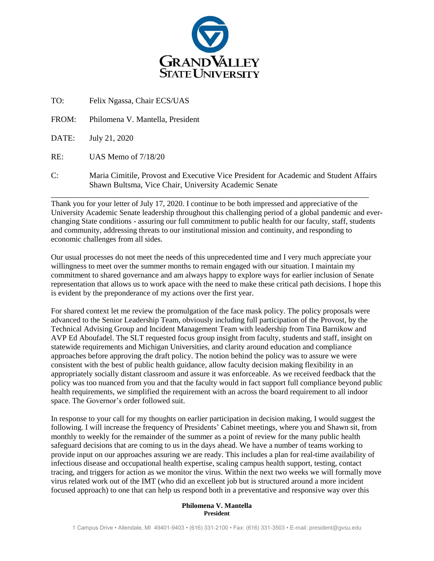

TO: Felix Ngassa, Chair ECS/UAS

FROM: Philomena V. Mantella, President

DATE: July 21, 2020

RE: UAS Memo of 7/18/20

C: Maria Cimitile, Provost and Executive Vice President for Academic and Student Affairs Shawn Bultsma, Vice Chair, University Academic Senate

\_\_\_\_\_\_\_\_\_\_\_\_\_\_\_\_\_\_\_\_\_\_\_\_\_\_\_\_\_\_\_\_\_\_\_\_\_\_\_\_\_\_\_\_\_\_\_\_\_\_\_\_\_\_\_\_\_\_\_\_\_\_\_\_\_\_\_\_\_\_\_\_\_\_\_\_\_\_

Thank you for your letter of July 17, 2020. I continue to be both impressed and appreciative of the University Academic Senate leadership throughout this challenging period of a global pandemic and everchanging State conditions - assuring our full commitment to public health for our faculty, staff, students and community, addressing threats to our institutional mission and continuity, and responding to economic challenges from all sides.

Our usual processes do not meet the needs of this unprecedented time and I very much appreciate your willingness to meet over the summer months to remain engaged with our situation. I maintain my commitment to shared governance and am always happy to explore ways for earlier inclusion of Senate representation that allows us to work apace with the need to make these critical path decisions. I hope this is evident by the preponderance of my actions over the first year.

For shared context let me review the promulgation of the face mask policy. The policy proposals were advanced to the Senior Leadership Team, obviously including full participation of the Provost, by the Technical Advising Group and Incident Management Team with leadership from Tina Barnikow and AVP Ed Aboufadel. The SLT requested focus group insight from faculty, students and staff, insight on statewide requirements and Michigan Universities, and clarity around education and compliance approaches before approving the draft policy. The notion behind the policy was to assure we were consistent with the best of public health guidance, allow faculty decision making flexibility in an appropriately socially distant classroom and assure it was enforceable. As we received feedback that the policy was too nuanced from you and that the faculty would in fact support full compliance beyond public health requirements, we simplified the requirement with an across the board requirement to all indoor space. The Governor's order followed suit.

In response to your call for my thoughts on earlier participation in decision making, I would suggest the following. I will increase the frequency of Presidents' Cabinet meetings, where you and Shawn sit, from monthly to weekly for the remainder of the summer as a point of review for the many public health safeguard decisions that are coming to us in the days ahead. We have a number of teams working to provide input on our approaches assuring we are ready. This includes a plan for real-time availability of infectious disease and occupational health expertise, scaling campus health support, testing, contact tracing, and triggers for action as we monitor the virus. Within the next two weeks we will formally move virus related work out of the IMT (who did an excellent job but is structured around a more incident focused approach) to one that can help us respond both in a preventative and responsive way over this

## **Philomena V. Mantella President**